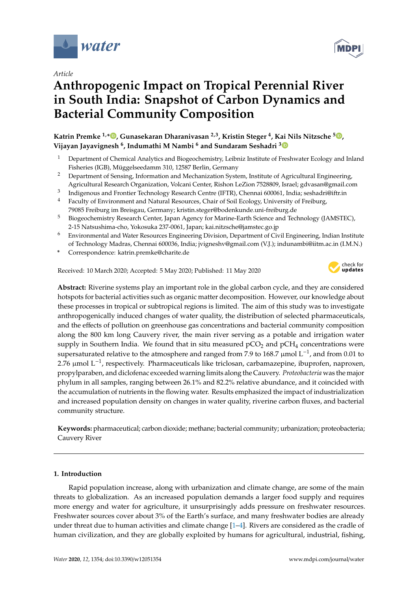

*Article*

# **Anthropogenic Impact on Tropical Perennial River in South India: Snapshot of Carbon Dynamics and Bacterial Community Composition**

**Katrin Premke 1,\* , Gunasekaran Dharanivasan 2,3, Kristin Steger <sup>4</sup> , Kai Nils Nitzsche <sup>5</sup> , Vijayan Jayavignesh <sup>6</sup> , Indumathi M Nambi <sup>6</sup> and Sundaram Seshadri <sup>3</sup>**

- <sup>1</sup> Department of Chemical Analytics and Biogeochemistry, Leibniz Institute of Freshwater Ecology and Inland Fisheries (IGB), Müggelseedamm 310, 12587 Berlin, Germany
- <sup>2</sup> Department of Sensing, Information and Mechanization System, Institute of Agricultural Engineering, Agricultural Research Organization, Volcani Center, Rishon LeZion 7528809, Israel; gdvasan@gmail.com
- 3 Indigenous and Frontier Technology Research Centre (IFTR), Chennai 600061, India; seshadri@iftr.in
- <sup>4</sup> Faculty of Environment and Natural Resources, Chair of Soil Ecology, University of Freiburg, 79085 Freiburg im Breisgau, Germany; kristin.steger@bodenkunde.uni-freiburg.de
- <sup>5</sup> Biogeochemistry Research Center, Japan Agency for Marine-Earth Science and Technology (JAMSTEC), 2-15 Natsushima-cho, Yokosuka 237-0061, Japan; kai.nitzsche@jamstec.go.jp
- <sup>6</sup> Environmental and Water Resources Engineering Division, Department of Civil Engineering, Indian Institute of Technology Madras, Chennai 600036, India; jvigneshv@gmail.com (V.J.); indunambi@iitm.ac.in (I.M.N.)
- **\*** Correspondence: katrin.premke@charite.de

Received: 10 March 2020; Accepted: 5 May 2020; Published: 11 May 2020



**Abstract:** Riverine systems play an important role in the global carbon cycle, and they are considered hotspots for bacterial activities such as organic matter decomposition. However, our knowledge about these processes in tropical or subtropical regions is limited. The aim of this study was to investigate anthropogenically induced changes of water quality, the distribution of selected pharmaceuticals, and the effects of pollution on greenhouse gas concentrations and bacterial community composition along the 800 km long Cauvery river, the main river serving as a potable and irrigation water supply in Southern India. We found that in situ measured  $pCO<sub>2</sub>$  and  $pCH<sub>4</sub>$  concentrations were supersaturated relative to the atmosphere and ranged from 7.9 to 168.7 µmol  $L^{-1}$ , and from 0.01 to 2.76 µmol L<sup>-1</sup>, respectively. Pharmaceuticals like triclosan, carbamazepine, ibuprofen, naproxen, propylparaben, and diclofenac exceeded warning limits along the Cauvery. *Proteobacteria* was the major phylum in all samples, ranging between 26.1% and 82.2% relative abundance, and it coincided with the accumulation of nutrients in the flowing water. Results emphasized the impact of industrialization and increased population density on changes in water quality, riverine carbon fluxes, and bacterial community structure.

**Keywords:** pharmaceutical; carbon dioxide; methane; bacterial community; urbanization; proteobacteria; Cauvery River

# **1. Introduction**

Rapid population increase, along with urbanization and climate change, are some of the main threats to globalization. As an increased population demands a larger food supply and requires more energy and water for agriculture, it unsurprisingly adds pressure on freshwater resources. Freshwater sources cover about 3% of the Earth's surface, and many freshwater bodies are already under threat due to human activities and climate change  $[1-4]$ . Rivers are considered as the cradle of human civilization, and they are globally exploited by humans for agricultural, industrial, fishing,

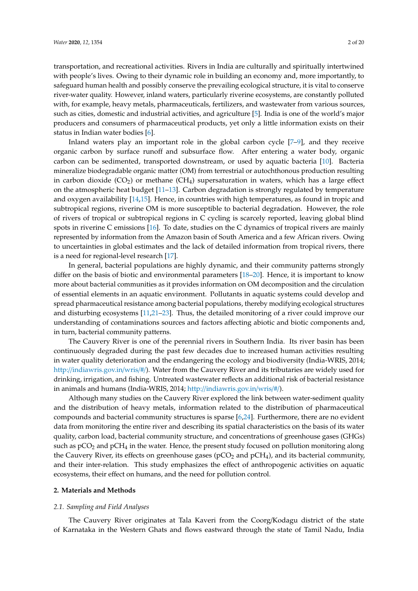transportation, and recreational activities. Rivers in India are culturally and spiritually intertwined with people's lives. Owing to their dynamic role in building an economy and, more importantly, to safeguard human health and possibly conserve the prevailing ecological structure, it is vital to conserve river-water quality. However, inland waters, particularly riverine ecosystems, are constantly polluted with, for example, heavy metals, pharmaceuticals, fertilizers, and wastewater from various sources, such as cities, domestic and industrial activities, and agriculture [5]. India is one of the world's major producers and consumers of pharmaceutical products, yet only a little information exists on their status in Indian water bodies [6].

Inland waters play an important role in the global carbon cycle [7–9], and they receive organic carbon by surface runoff and subsurface flow. After entering a water body, organic carbon can be sedimented, transported downstream, or used by aquatic bacteria [10]. Bacteria mineralize biodegradable organic matter (OM) from terrestrial or autochthonous production resulting in carbon dioxide  $(CO_2)$  or methane  $(CH_4)$  supersaturation in waters, which has a large effect on the atmospheric heat budget [11–13]. Carbon degradation is strongly regulated by temperature and oxygen availability [14,15]. Hence, in countries with high temperatures, as found in tropic and subtropical regions, riverine OM is more susceptible to bacterial degradation. However, the role of rivers of tropical or subtropical regions in C cycling is scarcely reported, leaving global blind spots in riverine C emissions [16]. To date, studies on the C dynamics of tropical rivers are mainly represented by information from the Amazon basin of South America and a few African rivers. Owing to uncertainties in global estimates and the lack of detailed information from tropical rivers, there is a need for regional-level research [17].

In general, bacterial populations are highly dynamic, and their community patterns strongly differ on the basis of biotic and environmental parameters [18–20]. Hence, it is important to know more about bacterial communities as it provides information on OM decomposition and the circulation of essential elements in an aquatic environment. Pollutants in aquatic systems could develop and spread pharmaceutical resistance among bacterial populations, thereby modifying ecological structures and disturbing ecosystems [11,21–23]. Thus, the detailed monitoring of a river could improve our understanding of contaminations sources and factors affecting abiotic and biotic components and, in turn, bacterial community patterns.

The Cauvery River is one of the perennial rivers in Southern India. Its river basin has been continuously degraded during the past few decades due to increased human activities resulting in water quality deterioration and the endangering the ecology and biodiversity (India-WRIS, 2014; http://indiawris.gov.in/wris/#/). Water from the Cauvery River and its tributaries are widely used for drinking, irrigation, and fishing. Untreated wastewater reflects an additional risk of bacterial resistance in animals and humans (India-WRIS, 2014; http://indiawris.gov.in/wris/#/).

Although many studies on the Cauvery River explored the link between water-sediment quality and the distribution of heavy metals, information related to the distribution of pharmaceutical compounds and bacterial community structures is sparse [6,24]. Furthermore, there are no evident data from monitoring the entire river and describing its spatial characteristics on the basis of its water quality, carbon load, bacterial community structure, and concentrations of greenhouse gases (GHGs) such as  $pCO<sub>2</sub>$  and  $pCH<sub>4</sub>$  in the water. Hence, the present study focused on pollution monitoring along the Cauvery River, its effects on greenhouse gases ( $pCO<sub>2</sub>$  and  $pCH<sub>4</sub>$ ), and its bacterial community, and their inter-relation. This study emphasizes the effect of anthropogenic activities on aquatic ecosystems, their effect on humans, and the need for pollution control.

#### **2. Materials and Methods**

## *2.1. Sampling and Field Analyses*

The Cauvery River originates at Tala Kaveri from the Coorg/Kodagu district of the state of Karnataka in the Western Ghats and flows eastward through the state of Tamil Nadu, India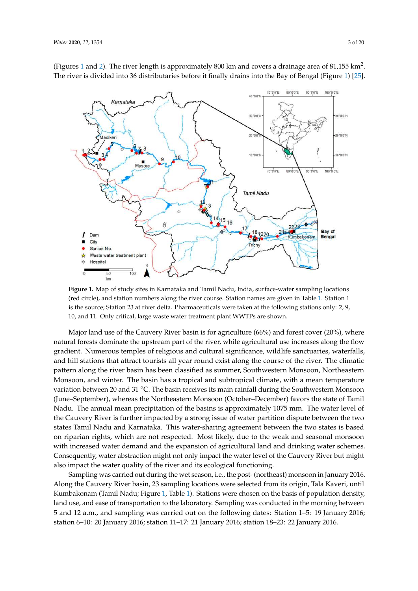

(Figures 1 and 2). The river length is approximately 800 km and covers a drainage area of 81,155 km<sup>2</sup>. The river is divided into 36 distributaries before it finally drains into the Bay of Bengal (Figure 1) [25].

**Figure 1.** Map of study sites in Karnataka and Tamil Nadu, India, surface-water sampling locations (red circle), and station numbers along the river course. Station names are given in Table 1. Station 1 is the source; Station 23 at river delta. Pharmaceuticals were taken at the following stations only: 2, 9, 10, and 11. Only critical, large waste water treatment plant WWTPs are shown.

Major land use of the Cauvery River basin is for agriculture (66%) and forest cover (20%), where natural forests dominate the upstream part of the river, while agricultural use increases along the flow gradient. Numerous temples of religious and cultural significance, wildlife sanctuaries, waterfalls, and hill stations that attract tourists all year round exist along the course of the river. The climatic pattern along the river basin has been classified as summer, Southwestern Monsoon, Northeastern Monsoon, and winter. The basin has a tropical and subtropical climate, with a mean temperature variation between 20 and 31 °C. The basin receives its main rainfall during the Southwestern Monsoon (June–September), whereas the Northeastern Monsoon (October–December) favors the state of Tamil Nadu. The annual mean precipitation of the basins is approximately 1075 mm. The water level of the Cauvery River is further impacted by a strong issue of water partition dispute between the two states Tamil Nadu and Karnataka. This water-sharing agreement between the two states is based on riparian rights, which are not respected. Most likely, due to the weak and seasonal monsoon with increased water demand and the expansion of agricultural land and drinking water schemes. Consequently, water abstraction might not only impact the water level of the Cauvery River but might also impact the water quality of the river and its ecological functioning.

Sampling was carried out during the wet season, i.e., the post- (northeast) monsoon in January 2016. Along the Cauvery River basin, 23 sampling locations were selected from its origin, Tala Kaveri, until Kumbakonam (Tamil Nadu; Figure 1, Table 1). Stations were chosen on the basis of population density, land use, and ease of transportation to the laboratory. Sampling was conducted in the morning between 5 and 12 a.m., and sampling was carried out on the following dates: Station 1–5: 19 January 2016; station 6–10: 20 January 2016; station 11–17: 21 January 2016; station 18–23: 22 January 2016.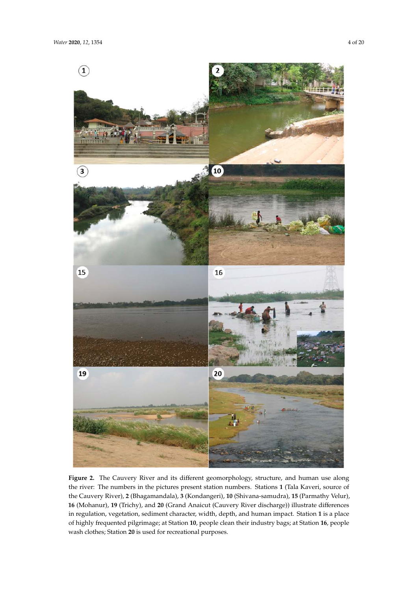

Figure 2. The Cauvery River and its different geomorphology, structure, and human use along the river: The numbers in the pictures present station numbers. Stations **1** (Tala Kaveri, source of the Cauvery River), **2** (Bhagamandala), **3** (Kondangeri), **10** (Shivana-samudra), **15** (Parmathy Velur), **16** (Mohanur), **19** (Trichy), and **20** (Grand Anaicut (Cauvery River discharge)) illustrate differences in regulation, vegetation, sediment character, width, depth, and human impact. Station **1** is a place of highly frequented pilgrimage; at Station **10**, people clean their industry bags; at Station **16**, people wash clothes; Station **20** is used for recreational purposes.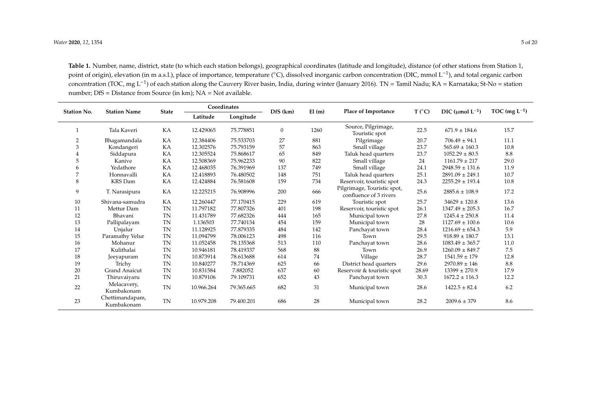**Table 1.** Number, name, district, state (to which each station belongs), geographical coordinates (latitude and longitude), distance (of other stations from Station 1, point of origin), elevation (in m a.s.l.), place of importance, temperature (°C), dissolved inorganic carbon concentration (DIC, mmol L<sup>−1</sup>), and total organic carbon concentration (TOC, mg L<sup>−1</sup>) of each station along the Cauvery River basin, India, during winter (January 2016). TN = Tamil Nadu; KA = Karnataka; St-No = station number; DfS = Distance from Source (in km); NA = Not available.

| <b>Station No.</b> | <b>Station Name</b>           | <b>State</b> | Coordinates |            | DfS (km)     | El(m) | Place of Importance                                   | T (°C) | DIC (umol $L^{-1}$ ) | TOC (mg $L^{-1}$ ) |
|--------------------|-------------------------------|--------------|-------------|------------|--------------|-------|-------------------------------------------------------|--------|----------------------|--------------------|
|                    |                               |              | Latitude    | Longitude  |              |       |                                                       |        |                      |                    |
|                    | Tala Kaveri                   | KA           | 12.429065   | 75.778851  | $\mathbf{0}$ | 1260  | Source, Pilgrimage,<br>Touristic spot                 |        | $671.9 \pm 184.6$    | 15.7               |
| $\overline{2}$     | Bhagamandala                  | KA           | 12.384406   | 75.533703  | 27           | 881   | Pilgrimage                                            | 20.7   | $706.49 \pm 94.1$    | 11.1               |
| 3                  | Kondangeri                    | KA           | 12.302576   | 75.793159  | 57           | 863   | Small village                                         | 23.7   | $565.69 \pm 160.3$   | 10.8               |
| 4                  | Siddapura                     | KA           | 12.305524   | 75.868617  | 65           | 849   | Taluk head quarters                                   | 23.7   | $1052.29 \pm 80.5$   | 8.8                |
| 5                  | Kanive                        | KA           | 12.508369   | 75.962233  | 90           | 822   | Small village                                         | 24     | $1161.79 \pm 217$    | 29.0               |
| 6                  | Yedathore                     | KA           | 12.468035   | 76.391969  | 137          | 749   | Small village                                         | 24.1   | $2948.59 \pm 131.6$  | 11.9               |
| 7                  | Honnavalli                    | KA           | 12.418893   | 76.480502  | 148          | 751   | Taluk head quarters                                   | 25.1   | $2891.09 \pm 249.1$  | 10.7               |
| 8                  | <b>KRS</b> Dam                | KA           | 12.424884   | 76.581608  | 159          | 734   | Reservoir, touristic spot                             | 24.3   | $2255.29 \pm 193.4$  | 10.8               |
| 9                  | T. Narasipura                 | KA           | 12.225215   | 76.908996  | 200          | 666   | Pilgrimage, Touristic spot,<br>confluence of 3 rivers | 25.6   | $2885.6 \pm 108.9$   | 17.2               |
| 10                 | Shivana-samudra               | KA           | 12.260447   | 77.170415  | 229          | 619   | Touristic spot                                        | 25.7   | $34629 \pm 120.8$    | 13.6               |
| 11                 | Mettur Dam                    | <b>TN</b>    | 11.797182   | 77.807326  | 401          | 198   | Reservoir, touristic spot                             | 26.1   | $1347.49 \pm 205.3$  | 16.7               |
| 12                 | Bhavani                       | <b>TN</b>    | 11.431789   | 77.682326  | 444          | 165   | Municipal town                                        | 27.8   | $1245.4 \pm 250.8$   | 11.4               |
| 13                 | Pallipalayam                  | <b>TN</b>    | 1.136503    | 77.740134  | 454          | 159   | Municipal town                                        | 28     | $1127.69 \pm 100.6$  | 10.6               |
| 14                 | Unjalur                       | <b>TN</b>    | 11.128925   | 77.879335  | 484          | 142   | Panchayat town                                        | 28.4   | $1216.69 \pm 654.3$  | 5.9                |
| 15                 | Paramathy Velur               | <b>TN</b>    | 11.094799   | 78.006123  | 498          | 116   | Town                                                  | 29.5   | $918.89 \pm 180.7$   | 13.1               |
| 16                 | Mohanur                       | <b>TN</b>    | 11.052458   | 78.135368  | 513          | 110   | Panchayat town                                        | 28.6   | $1083.49 \pm 365.7$  | 11.0               |
| 17                 | Kulithalai                    | <b>TN</b>    | 10.946181   | 78.419337  | 568          | 88    | Town                                                  | 26.9   | $1260.09 \pm 849.7$  | 7.5                |
| 18                 | Jeeyapuram                    | <b>TN</b>    | 10.873914   | 78.613688  | 614          | 74    | Village                                               | 28.7   | $1541.59 \pm 179$    | 12.8               |
| 19                 | Trichy                        | <b>TN</b>    | 10.840277   | 78.714369  | 625          | 66    | District head quarters                                | 29.6   | $2970.89 \pm 146$    | 8.8                |
| 20                 | <b>Grand Anaicut</b>          | <b>TN</b>    | 10.831584   | 7.882052   | 637          | 60    | Reservoir & touristic spot                            | 28.69  | $13399 \pm 270.9$    | 17.9               |
| 21                 | Thiruvaiyaru                  | <b>TN</b>    | 10.879106   | 79.109731  | 652          | 43    | Panchavat town                                        | 30.3   | $1672.2 \pm 116.3$   | 12.2               |
| 22                 | Melacavery,<br>Kumbakonam     | <b>TN</b>    | 10.966.264  | 79.365.665 | 682          | 31    | Municipal town                                        | 28.6   | $1422.5 \pm 82.4$    | 6.2                |
| 23                 | Chettimandapam,<br>Kumbakonam | <b>TN</b>    | 10.979.208  | 79.400.201 | 686          | 28    | Municipal town                                        | 28.2   | $2009.6 \pm 379$     | 8.6                |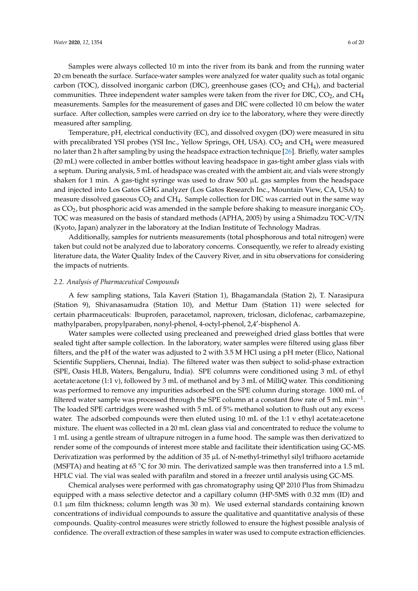Samples were always collected 10 m into the river from its bank and from the running water 20 cm beneath the surface. Surface-water samples were analyzed for water quality such as total organic carbon (TOC), dissolved inorganic carbon (DIC), greenhouse gases ( $CO<sub>2</sub>$  and  $CH<sub>4</sub>$ ), and bacterial communities. Three independent water samples were taken from the river for DIC,  $CO<sub>2</sub>$ , and CH<sub>4</sub> measurements. Samples for the measurement of gases and DIC were collected 10 cm below the water surface. After collection, samples were carried on dry ice to the laboratory, where they were directly measured after sampling.

Temperature, pH, electrical conductivity (EC), and dissolved oxygen (DO) were measured in situ with precalibrated YSI probes (YSI Inc., Yellow Springs, OH, USA).  $CO<sub>2</sub>$  and CH<sub>4</sub> were measured no later than 2 h after sampling by using the headspace extraction technique [26]. Briefly, water samples (20 mL) were collected in amber bottles without leaving headspace in gas-tight amber glass vials with a septum. During analysis, 5 mL of headspace was created with the ambient air, and vials were strongly shaken for 1 min. A gas-tight syringe was used to draw 500  $\mu$ L gas samples from the headspace and injected into Los Gatos GHG analyzer (Los Gatos Research Inc., Mountain View, CA, USA) to measure dissolved gaseous  $CO<sub>2</sub>$  and  $CH<sub>4</sub>$ . Sample collection for DIC was carried out in the same way as  $CO<sub>2</sub>$ , but phosphoric acid was amended in the sample before shaking to measure inorganic  $CO<sub>2</sub>$ . TOC was measured on the basis of standard methods (APHA, 2005) by using a Shimadzu TOC-V/TN (Kyoto, Japan) analyzer in the laboratory at the Indian Institute of Technology Madras.

Additionally, samples for nutrients measurements (total phosphorous and total nitrogen) were taken but could not be analyzed due to laboratory concerns. Consequently, we refer to already existing literature data, the Water Quality Index of the Cauvery River, and in situ observations for considering the impacts of nutrients.

## *2.2. Analysis of Pharmaceutical Compounds*

A few sampling stations, Tala Kaveri (Station 1), Bhagamandala (Station 2), T. Narasipura (Station 9), Shivanasamudra (Station 10), and Mettur Dam (Station 11) were selected for certain pharmaceuticals: Ibuprofen, paracetamol, naproxen, triclosan, diclofenac, carbamazepine, mathylparaben, propylparaben, nonyl-phenol, 4-octyl-phenol, 2,4′ -bisphenol A.

Water samples were collected using precleaned and preweighed dried glass bottles that were sealed tight after sample collection. In the laboratory, water samples were filtered using glass fiber filters, and the pH of the water was adjusted to 2 with 3.5 M HCl using a pH meter (Elico, National Scientific Suppliers, Chennai, India). The filtered water was then subject to solid-phase extraction (SPE, Oasis HLB, Waters, Bengaluru, India). SPE columns were conditioned using 3 mL of ethyl acetate:acetone (1:1 v), followed by 3 mL of methanol and by 3 mL of MilliQ water. This conditioning was performed to remove any impurities adsorbed on the SPE column during storage. 1000 mL of filtered water sample was processed through the SPE column at a constant flow rate of 5 mL min<sup>-1</sup>. The loaded SPE cartridges were washed with 5 mL of 5% methanol solution to flush out any excess water. The adsorbed compounds were then eluted using 10 mL of the 1:1 v ethyl acetate:acetone mixture. The eluent was collected in a 20 mL clean glass vial and concentrated to reduce the volume to 1 mL using a gentle stream of ultrapure nitrogen in a fume hood. The sample was then derivatized to render some of the compounds of interest more stable and facilitate their identification using GC-MS. Derivatization was performed by the addition of 35  $\mu$ L of N-methyl-trimethyl silyl trifluoro acetamide (MSFTA) and heating at 65 ◦C for 30 min. The derivatized sample was then transferred into a 1.5 mL HPLC vial. The vial was sealed with parafilm and stored in a freezer until analysis using GC-MS.

Chemical analyses were performed with gas chromatography using QP 2010 Plus from Shimadzu equipped with a mass selective detector and a capillary column (HP-5MS with 0.32 mm (ID) and 0.1  $\mu$ m film thickness; column length was 30 m). We used external standards containing known concentrations of individual compounds to assure the qualitative and quantitative analysis of these compounds. Quality-control measures were strictly followed to ensure the highest possible analysis of confidence. The overall extraction of these samples in water was used to compute extraction efficiencies.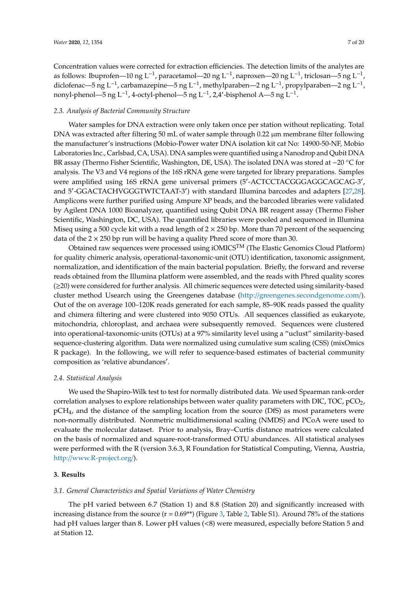Concentration values were corrected for extraction efficiencies. The detection limits of the analytes are as follows: Ibuprofen—10 ng L<sup>-1</sup>, paracetamol—20 ng L<sup>-1</sup>, naproxen—20 ng L<sup>-1</sup>, triclosan—5 ng L<sup>-1</sup>, diclofenac—5 ng L<sup>-1</sup>, carbamazepine—5 ng L<sup>-1</sup>, methylparaben—2 ng L<sup>-1</sup>, propylparaben—2 ng L<sup>-1</sup>, nonyl-phenol—5 ng L<sup>−1</sup>, 4-octyl-phenol—5 ng L<sup>−1</sup>, 2,4′-bisphenol A—5 ng L<sup>−1</sup>.

# *2.3. Analysis of Bacterial Community Structure*

Water samples for DNA extraction were only taken once per station without replicating. Total DNA was extracted after filtering 50 mL of water sample through 0.22 µm membrane filter following the manufacturer's instructions (Mobio-Power water DNA isolation kit cat No: 14900-50-NF, Mobio Laboratories Inc., Carlsbad, CA, USA). DNA samples were quantified using a Nanodrop and Qubit DNA BR assay (Thermo Fisher Scientific, Washington, DE, USA). The isolated DNA was stored at −20 ◦C for analysis. The V3 and V4 regions of the 16S rRNA gene were targeted for library preparations. Samples were amplified using 16S rRNA gene universal primers (5'-ACTCCTACGGGAGGCAGCAG-3', and 5′ -GGACTACHVGGGTWTCTAAT-3′ ) with standard Illumina barcodes and adapters [27,28]. Amplicons were further purified using Ampure XP beads, and the barcoded libraries were validated by Agilent DNA 1000 Bioanalyzer, quantified using Qubit DNA BR reagent assay (Thermo Fisher Scientific, Washington, DC, USA). The quantified libraries were pooled and sequenced in Illumina Miseq using a 500 cycle kit with a read length of  $2 \times 250$  bp. More than 70 percent of the sequencing data of the  $2 \times 250$  bp run will be having a quality Phred score of more than 30.

Obtained raw sequences were processed using iOMICS<sup>TM</sup> (The Elastic Genomics Cloud Platform) for quality chimeric analysis, operational-taxonomic-unit (OTU) identification, taxonomic assignment, normalization, and identification of the main bacterial population. Briefly, the forward and reverse reads obtained from the Illumina platform were assembled, and the reads with Phred quality scores (≥20) were considered for further analysis. All chimeric sequences were detected using similarity-based cluster method Usearch using the Greengenes database (http://greengenes.secondgenome.com/). Out of the on average 100–120K reads generated for each sample, 85–90K reads passed the quality and chimera filtering and were clustered into 9050 OTUs. All sequences classified as eukaryote, mitochondria, chloroplast, and archaea were subsequently removed. Sequences were clustered into operational-taxonomic-units (OTUs) at a 97% similarity level using a "uclust" similarity-based sequence-clustering algorithm. Data were normalized using cumulative sum scaling (CSS) (mixOmics R package). In the following, we will refer to sequence-based estimates of bacterial community composition as 'relative abundances′ .

### *2.4. Statistical Analysis*

We used the Shapiro-Wilk test to test for normally distributed data. We used Spearman rank-order correlation analyses to explore relationships between water quality parameters with DIC, TOC,  $pCO<sub>2</sub>$ ,  $pCH<sub>4</sub>$ , and the distance of the sampling location from the source (DfS) as most parameters were non-normally distributed. Nonmetric multidimensional scaling (NMDS) and PCoA were used to evaluate the molecular dataset. Prior to analysis, Bray–Curtis distance matrices were calculated on the basis of normalized and square-root-transformed OTU abundances. All statistical analyses were performed with the R (version 3.6.3, R Foundation for Statistical Computing, Vienna, Austria, http://www.R-project.org/).

# **3. Results**

## *3.1. General Characteristics and Spatial Variations of Water Chemistry*

The pH varied between 6.7 (Station 1) and 8.8 (Station 20) and significantly increased with increasing distance from the source ( $r = 0.69$ <sup>\*\*</sup>) (Figure 3, Table 2, Table S1). Around 78% of the stations had pH values larger than 8. Lower pH values (<8) were measured, especially before Station 5 and at Station 12.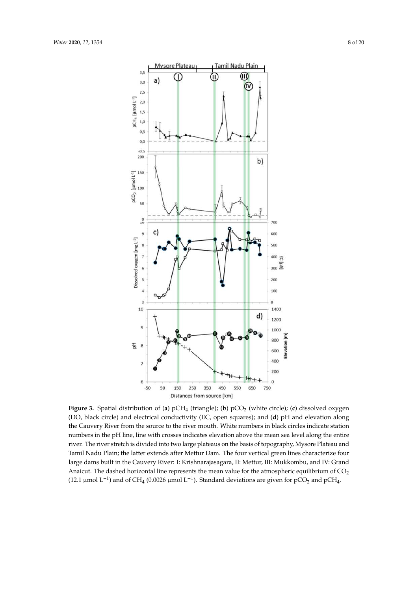

(12.1 µmol L<sup>-1</sup>) and of CH<sub>4</sub> (0.0026 µmol L<sup>-1</sup>). Standard deviations are given for pCO<sub>2</sub> and pCH<sub>4</sub>. **Figure 3.** Spatial distribution of (**a**) pCH<sup>4</sup> (triangle); (**b**) pCO<sup>2</sup> (white circle); (**c**) dissolved oxygen (DO, black circle) and electrical conductivity (EC, open squares); and (**d**) pH and elevation along the Cauvery River from the source to the river mouth. White numbers in black circles indicate station numbers in the pH line, line with crosses indicates elevation above the mean sea level along the entire river. The river stretch is divided into two large plateaus on the basis of topography, Mysore Plateau and Tamil Nadu Plain; the latter extends after Mettur Dam. The four vertical green lines characterize four large dams built in the Cauvery River: I: Krishnarajasagara, II: Mettur, III: Mukkombu, and IV: Grand Anaicut. The dashed horizontal line represents the mean value for the atmospheric equilibrium of  $CO<sub>2</sub>$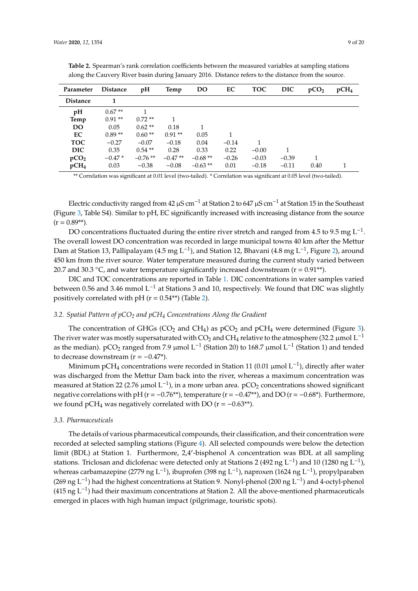| Parameter        | <b>Distance</b> | pH<br>Temp |           | <b>DO</b> | EC      | <b>TOC</b> | <b>DIC</b> | pCO <sub>2</sub> | pCH <sub>4</sub> |
|------------------|-----------------|------------|-----------|-----------|---------|------------|------------|------------------|------------------|
| <b>Distance</b>  |                 |            |           |           |         |            |            |                  |                  |
| pH               | $0.67**$        |            |           |           |         |            |            |                  |                  |
| Temp             | $0.91**$        | $0.72**$   |           |           |         |            |            |                  |                  |
| DO               | 0.05            | $0.62**$   | 0.18      |           |         |            |            |                  |                  |
| EC               | $0.89**$        | $0.60**$   | $0.91**$  | 0.05      | 1       |            |            |                  |                  |
| <b>TOC</b>       | $-0.27$         | $-0.07$    | $-0.18$   | 0.04      | $-0.14$ |            |            |                  |                  |
| DIC              | 0.35            | $0.54**$   | 0.28      | 0.33      | 0.22    | $-0.00$    |            |                  |                  |
| pCO <sub>2</sub> | $-0.47*$        | $-0.76**$  | $-0.47**$ | $-0.68**$ | $-0.26$ | $-0.03$    | $-0.39$    |                  |                  |
| pCH <sub>4</sub> | 0.03            | $-0.38$    | $-0.08$   | $-0.63**$ | 0.01    | $-0.18$    | $-0.11$    | 0.40             |                  |

**Table 2.** Spearman's rank correlation coefficients between the measured variables at sampling stations along the Cauvery River basin during January 2016. Distance refers to the distance from the source.

\*\* Correlation was significant at 0.01 level (two-tailed). \* Correlation was significant at 0.05 level (two-tailed).

Electric conductivity ranged from 42  $\mu$ S cm<sup>-1</sup> at Station 2 to 647  $\mu$ S cm<sup>-1</sup> at Station 15 in the Southeast (Figure 3, Table S4). Similar to pH, EC significantly increased with increasing distance from the source  $(r = 0.89**).$ 

DO concentrations fluctuated during the entire river stretch and ranged from 4.5 to 9.5 mg  $\mathrm{L}^{-1}$ . The overall lowest DO concentration was recorded in large municipal towns 40 km after the Mettur Dam at Station 13, Pallipalayam (4.5 mg L<sup>-1</sup>), and Station 12, Bhavani (4.8 mg L<sup>-1</sup>, Figure 2), around 450 km from the river source. Water temperature measured during the current study varied between 20.7 and 30.3 °C, and water temperature significantly increased downstream ( $r = 0.91**$ ).

DIC and TOC concentrations are reported in Table 1. DIC concentrations in water samples varied between 0.56 and 3.46 mmol L−<sup>1</sup> at Stations 3 and 10, respectively. We found that DIC was slightly positively correlated with pH ( $r = 0.54$ <sup>\*\*</sup>) (Table 2).

# *3.2. Spatial Pattern of pCO<sup>2</sup> and pCH<sup>4</sup> Concentrations Along the Gradient*

The concentration of GHGs ( $CO<sub>2</sub>$  and  $CH<sub>4</sub>$ ) as  $pCO<sub>2</sub>$  and  $pCH<sub>4</sub>$  were determined (Figure 3). The river water was mostly supersaturated with  $CO_2$  and CH<sub>4</sub> relative to the atmosphere (32.2 µmol L<sup>-1</sup> as the median). pCO<sub>2</sub> ranged from 7.9 µmol L<sup>-1</sup> (Station 20) to 168.7 µmol L<sup>-1</sup> (Station 1) and tended to decrease downstream ( $r = -0.47$ <sup>\*</sup>).

Minimum pCH<sub>4</sub> concentrations were recorded in Station 11 (0.01 µmol L<sup>-1</sup>), directly after water was discharged from the Mettur Dam back into the river, whereas a maximum concentration was measured at Station 22 (2.76 µmol  $\mathrm{L}^{-1}$ ), in a more urban area. pCO<sub>2</sub> concentrations showed significant negative correlations with pH ( $r = -0.76$ <sup>\*\*</sup>), temperature ( $r = -0.47$ <sup>\*\*</sup>), and DO ( $r = -0.68$ <sup>\*</sup>). Furthermore, we found pCH<sub>4</sub> was negatively correlated with DO ( $r = -0.63**$ ).

# *3.3. Pharmaceuticals*

The details of various pharmaceutical compounds, their classification, and their concentration were recorded at selected sampling stations (Figure 4). All selected compounds were below the detection limit (BDL) at Station 1. Furthermore, 2,4′ -bisphenol A concentration was BDL at all sampling stations. Triclosan and diclofenac were detected only at Stations 2 (492 ng L<sup>-1</sup>) and 10 (1280 ng L<sup>-1</sup>), whereas carbamazepine (2779 ng L<sup>-1</sup>), ibuprofen (398 ng L<sup>-1</sup>), naproxen (1624 ng L<sup>-1</sup>), propylparaben (269 ng L<sup>-1</sup>) had the highest concentrations at Station 9. Nonyl-phenol (200 ng L<sup>-1</sup>) and 4-octyl-phenol (415 ng L<sup>-1</sup>) had their maximum concentrations at Station 2. All the above-mentioned pharmaceuticals emerged in places with high human impact (pilgrimage, touristic spots).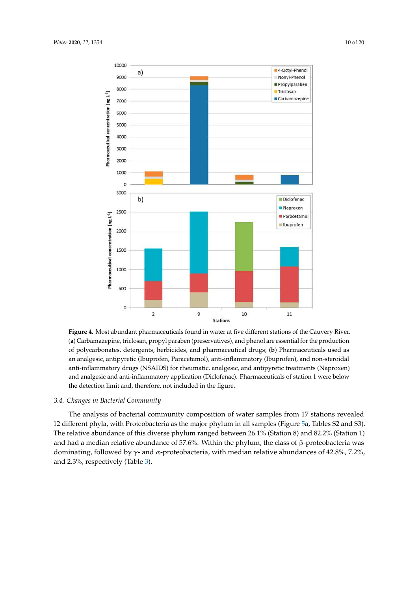

**Figure 4.** Most abundant pharmaceuticals found in water at five different stations of the Cauvery River. (**a**) Carbamazepine, triclosan, propyl paraben (preservatives), and phenol are essential for the production of polycarbonates, detergents, herbicides, and pharmaceutical drugs; (**b**) Pharmaceuticals used as an analgesic, antipyretic (Ibuprofen, Paracetamol), anti-inflammatory (Ibuprofen), and non-steroidal anti-inflammatory drugs (NSAIDS) for rheumatic, analgesic, and antipyretic treatments (Naproxen) and analgesic and anti-inflammatory application (Diclofenac). Pharmaceuticals of station 1 were below the detection limit and, therefore, not included in the figure.

# *3.4. Changes in Bacterial Community*

and had a median relative abundance of 57.6%. Within the phylum, the class of β-proteobacteria was dominating, followed by  $γ$ - and α-proteobacteria, with median relative abundances of 42.8%, 7.2%, The analysis of bacterial community composition of water samples from 17 stations revealed 12 different phyla, with Proteobacteria as the major phylum in all samples (Figure 5a, Tables S2 and S3). The relative abundance of this diverse phylum ranged between 26.1% (Station 8) and 82.2% (Station 1) and 2.3%, respectively (Table 3).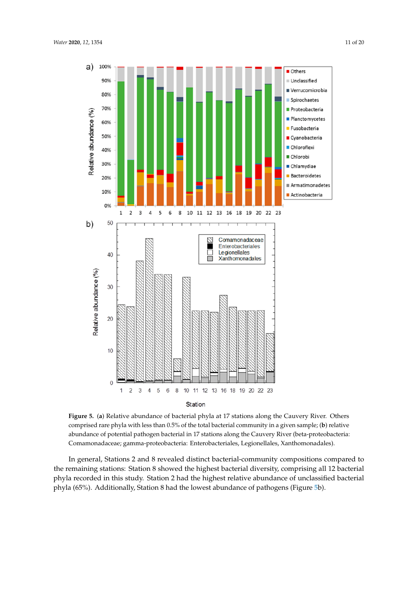

**Figure 5.** (**a**) Relative abundance of bacterial phyla at 17 stations along the Cauvery River. Others comprised rare phyla with less than 0.5% of the total bacterial community in a given sample; (**b**) relative abundance of potential pathogen bacterial in 17 stations along the Cauvery River (beta-proteobacteria: Comamonadaceae; gamma-proteobacteria: Enterobacteriales, Legionellales, Xanthomonadales).

In general, Stations 2 and 8 revealed distinct bacterial-community compositions compared to the remaining stations: Station 8 showed the highest bacterial diversity, comprising all 12 bacterial phyla recorded in this study. Station 2 had the highest relative abundance of unclassified bacterial phyla (65%). Additionally, Station 8 had the lowest abundance of pathogens (Figure 5b).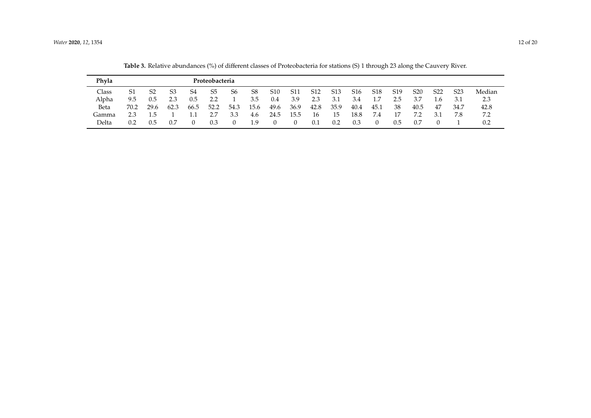| Phyla |      |                |      |      | Proteobacteria |      |      |                 |      |                 |                  |                 |                 |                 |                 |                 |                  |        |
|-------|------|----------------|------|------|----------------|------|------|-----------------|------|-----------------|------------------|-----------------|-----------------|-----------------|-----------------|-----------------|------------------|--------|
| Class | S1   | S <sub>2</sub> | S3   | S4   | S <sub>5</sub> | S6   | S8   | S <sub>10</sub> | S11  | S <sub>12</sub> | S <sub>1</sub> 3 | S <sub>16</sub> | S <sub>18</sub> | S <sub>19</sub> | S <sub>20</sub> | S <sub>22</sub> | S <sub>2</sub> 3 | Median |
| Alpha | 9.5  | 0.5            |      | 0.5  | ? ?            |      | 3.5  | 0.4             | 3.9  | 2.3             | 3.1              | 3.4             | 1.7             | 2.5             | 3.7             | 1.6             |                  | 2.3    |
| Beta  | 70.2 | 29.6           | 62.3 | 66.5 | 52.2           | 54.3 | 15.6 | 49.6            | 36.9 | 42.8            | 35.9             | 40.4            | 45.1            | 38              | 40.5            | -47             | 34.7             | 42.8   |
| Gamma | 2.3  | 1.5            |      |      |                | 3.3  | 4.6  | 24.5            | 15.5 | 16              | 15               | 18.8            | 7.4             | 17              |                 | 3.1             | 7.8              | 7.2    |
| Delta |      | 0.5            | 0.7  |      |                | 0    | 1.9  |                 |      | 0.1             | 0.2              | 0.3             |                 | 0.5             | 0.7             |                 |                  |        |

**Table 3.** Relative abundances (%) of different classes of Proteobacteria for stations (S) 1 through 23 along the Cauvery River.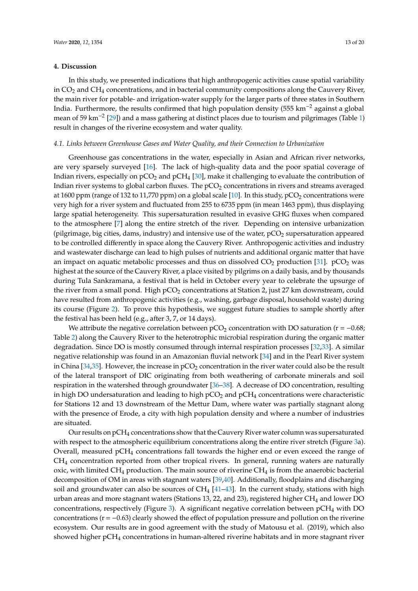# **4. Discussion**

In this study, we presented indications that high anthropogenic activities cause spatial variability in  $CO<sub>2</sub>$  and  $CH<sub>4</sub>$  concentrations, and in bacterial community compositions along the Cauvery River, the main river for potable- and irrigation-water supply for the larger parts of three states in Southern India. Furthermore, the results confirmed that high population density (555 km−<sup>2</sup> against a global mean of 59 km<sup>-2</sup> [29]) and a mass gathering at distinct places due to tourism and pilgrimages (Table 1) result in changes of the riverine ecosystem and water quality.

## *4.1. Links between Greenhouse Gases and Water Quality, and their Connection to Urbanization*

Greenhouse gas concentrations in the water, especially in Asian and African river networks, are very sparsely surveyed [16]. The lack of high-quality data and the poor spatial coverage of Indian rivers, especially on  $pCO<sub>2</sub>$  and  $pCH<sub>4</sub>$  [30], make it challenging to evaluate the contribution of Indian river systems to global carbon fluxes. The  $pCO<sub>2</sub>$  concentrations in rivers and streams averaged at 1600 ppm (range of 132 to 11,770 ppm) on a global scale [10]. In this study,  $pCO<sub>2</sub>$  concentrations were very high for a river system and fluctuated from 255 to 6735 ppm (in mean 1463 ppm), thus displaying large spatial heterogeneity. This supersaturation resulted in evasive GHG fluxes when compared to the atmosphere [7] along the entire stretch of the river. Depending on intensive urbanization (pilgrimage, big cities, dams, industry) and intensive use of the water,  $pCO<sub>2</sub>$  supersaturation appeared to be controlled differently in space along the Cauvery River. Anthropogenic activities and industry and wastewater discharge can lead to high pulses of nutrients and additional organic matter that have an impact on aquatic metabolic processes and thus on dissolved  $CO_2$  production [31]. pCO<sub>2</sub> was highest at the source of the Cauvery River, a place visited by pilgrims on a daily basis, and by thousands during Tula Sankramana, a festival that is held in October every year to celebrate the upsurge of the river from a small pond. High  $pCO<sub>2</sub>$  concentrations at Station 2, just 27 km downstream, could have resulted from anthropogenic activities (e.g., washing, garbage disposal, household waste) during its course (Figure 2). To prove this hypothesis, we suggest future studies to sample shortly after the festival has been held (e.g., after 3, 7, or 14 days).

We attribute the negative correlation between  $pCO<sub>2</sub>$  concentration with DO saturation ( $r = -0.68$ ; Table 2) along the Cauvery River to the heterotrophic microbial respiration during the organic matter degradation. Since DO is mostly consumed through internal respiration processes [32,33]. A similar negative relationship was found in an Amazonian fluvial network [34] and in the Pearl River system in China [34,35]. However, the increase in  $pCO<sub>2</sub>$  concentration in the river water could also be the result of the lateral transport of DIC originating from both weathering of carbonate minerals and soil respiration in the watershed through groundwater [36–38]. A decrease of DO concentration, resulting in high DO undersaturation and leading to high  $pCO<sub>2</sub>$  and  $pCH<sub>4</sub>$  concentrations were characteristic for Stations 12 and 13 downstream of the Mettur Dam, where water was partially stagnant along with the presence of Erode, a city with high population density and where a number of industries are situated.

Our results on  $pCH_4$  concentrations show that the Cauvery River water column was supersaturated with respect to the atmospheric equilibrium concentrations along the entire river stretch (Figure 3a). Overall, measured pCH<sup>4</sup> concentrations fall towards the higher end or even exceed the range of CH<sup>4</sup> concentration reported from other tropical rivers. In general, running waters are naturally oxic, with limited  $CH_4$  production. The main source of riverine  $CH_4$  is from the anaerobic bacterial decomposition of OM in areas with stagnant waters [39,40]. Additionally, floodplains and discharging soil and groundwater can also be sources of  $CH_4$  [41–43]. In the current study, stations with high urban areas and more stagnant waters (Stations 13, 22, and 23), registered higher CH<sup>4</sup> and lower DO concentrations, respectively (Figure 3). A significant negative correlation between  $pCH_4$  with DO concentrations ( $r = -0.63$ ) clearly showed the effect of population pressure and pollution on the riverine ecosystem. Our results are in good agreement with the study of Matousu et al. (2019), which also showed higher pCH<sup>4</sup> concentrations in human-altered riverine habitats and in more stagnant river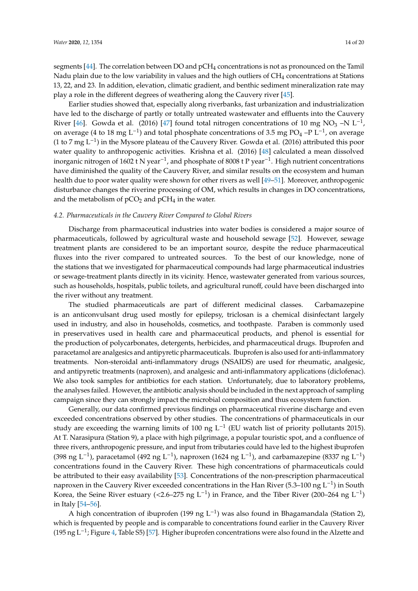segments [44]. The correlation between DO and pCH<sup>4</sup> concentrations is not as pronounced on the Tamil Nadu plain due to the low variability in values and the high outliers of CH<sup>4</sup> concentrations at Stations 13, 22, and 23. In addition, elevation, climatic gradient, and benthic sediment mineralization rate may play a role in the different degrees of weathering along the Cauvery river [45].

Earlier studies showed that, especially along riverbanks, fast urbanization and industrialization have led to the discharge of partly or totally untreated wastewater and effluents into the Cauvery River [46]. Gowda et al. (2016) [47] found total nitrogen concentrations of 10 mg NO<sub>3</sub> –N L<sup>-1</sup>, on average (4 to 18 mg L<sup>-1</sup>) and total phosphate concentrations of 3.5 mg PO<sub>4</sub> –P L<sup>-1</sup>, on average (1 to 7 mg L<sup>-1</sup>) in the Mysore plateau of the Cauvery River. Gowda et al. (2016) attributed this poor water quality to anthropogenic activities. Krishna et al. (2016) [48] calculated a mean dissolved inorganic nitrogen of 1602 t N year<sup>-1</sup>, and phosphate of 8008 t P year<sup>-1</sup>. High nutrient concentrations have diminished the quality of the Cauvery River, and similar results on the ecosystem and human health due to poor water quality were shown for other rivers as well [49–51]. Moreover, anthropogenic disturbance changes the riverine processing of OM, which results in changes in DO concentrations, and the metabolism of  $pCO<sub>2</sub>$  and  $pCH<sub>4</sub>$  in the water.

#### *4.2. Pharmaceuticals in the Cauvery River Compared to Global Rivers*

Discharge from pharmaceutical industries into water bodies is considered a major source of pharmaceuticals, followed by agricultural waste and household sewage [52]. However, sewage treatment plants are considered to be an important source, despite the reduce pharmaceutical fluxes into the river compared to untreated sources. To the best of our knowledge, none of the stations that we investigated for pharmaceutical compounds had large pharmaceutical industries or sewage-treatment plants directly in its vicinity. Hence, wastewater generated from various sources, such as households, hospitals, public toilets, and agricultural runoff, could have been discharged into the river without any treatment.

The studied pharmaceuticals are part of different medicinal classes. Carbamazepine is an anticonvulsant drug used mostly for epilepsy, triclosan is a chemical disinfectant largely used in industry, and also in households, cosmetics, and toothpaste. Paraben is commonly used in preservatives used in health care and pharmaceutical products, and phenol is essential for the production of polycarbonates, detergents, herbicides, and pharmaceutical drugs. Ibuprofen and paracetamol are analgesics and antipyretic pharmaceuticals. Ibuprofen is also used for anti-inflammatory treatments. Non-steroidal anti-inflammatory drugs (NSAIDS) are used for rheumatic, analgesic, and antipyretic treatments (naproxen), and analgesic and anti-inflammatory applications (diclofenac). We also took samples for antibiotics for each station. Unfortunately, due to laboratory problems, the analyses failed. However, the antibiotic analysis should be included in the next approach of sampling campaign since they can strongly impact the microbial composition and thus ecosystem function.

Generally, our data confirmed previous findings on pharmaceutical riverine discharge and even exceeded concentrations observed by other studies. The concentrations of pharmaceuticals in our study are exceeding the warning limits of 100 ng L<sup>-1</sup> (EU watch list of priority pollutants 2015). At T. Narasipura (Station 9), a place with high pilgrimage, a popular touristic spot, and a confluence of three rivers, anthropogenic pressure, and input from tributaries could have led to the highest ibuprofen (398 ng L<sup>-1</sup>), paracetamol (492 ng L<sup>-1</sup>), naproxen (1624 ng L<sup>-1</sup>), and carbamazepine (8337 ng L<sup>-1</sup>) concentrations found in the Cauvery River. These high concentrations of pharmaceuticals could be attributed to their easy availability [53]. Concentrations of the non-prescription pharmaceutical naproxen in the Cauvery River exceeded concentrations in the Han River (5.3–100 ng L<sup>-1</sup>) in South Korea, the Seine River estuary (<2.6–275 ng L<sup>-1</sup>) in France, and the Tiber River (200–264 ng L<sup>-1</sup>) in Italy [54–56].

A high concentration of ibuprofen (199 ng L<sup>-1</sup>) was also found in Bhagamandala (Station 2), which is frequented by people and is comparable to concentrations found earlier in the Cauvery River (195 ng L<sup>-1</sup>; Figure 4, Table S5) [57]. Higher ibuprofen concentrations were also found in the Alzette and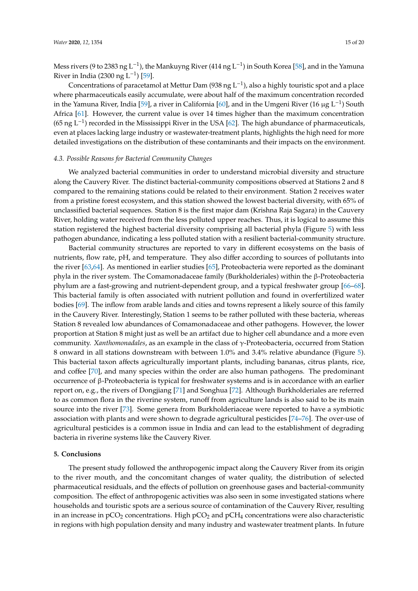Mess rivers (9 to 2383 ng L<sup>−1</sup>), the Mankuyng River (414 ng L<sup>−1</sup>) in South Korea [58], and in the Yamuna River in India (2300 ng L<sup>-1</sup>) [59].

Concentrations of paracetamol at Mettur Dam (938 ng  $L^{-1}$ ), also a highly touristic spot and a place where pharmaceuticals easily accumulate, were about half of the maximum concentration recorded in the Yamuna River, India [59], a river in California [60], and in the Umgeni River (16 µg L<sup>-1</sup>) South Africa [61]. However, the current value is over 14 times higher than the maximum concentration (65 ng L<sup>-1</sup>) recorded in the Mississippi River in the USA [62]. The high abundance of pharmaceuticals, even at places lacking large industry or wastewater-treatment plants, highlights the high need for more detailed investigations on the distribution of these contaminants and their impacts on the environment.

## *4.3. Possible Reasons for Bacterial Community Changes*

We analyzed bacterial communities in order to understand microbial diversity and structure along the Cauvery River. The distinct bacterial-community compositions observed at Stations 2 and 8 compared to the remaining stations could be related to their environment. Station 2 receives water from a pristine forest ecosystem, and this station showed the lowest bacterial diversity, with 65% of unclassified bacterial sequences. Station 8 is the first major dam (Krishna Raja Sagara) in the Cauvery River, holding water received from the less polluted upper reaches. Thus, it is logical to assume this station registered the highest bacterial diversity comprising all bacterial phyla (Figure 5) with less pathogen abundance, indicating a less polluted station with a resilient bacterial-community structure.

Bacterial community structures are reported to vary in different ecosystems on the basis of nutrients, flow rate, pH, and temperature. They also differ according to sources of pollutants into the river [63,64]. As mentioned in earlier studies [65], Proteobacteria were reported as the dominant phyla in the river system. The Comamonadaceae family (Burkholderiales) within the β-Proteobacteria phylum are a fast-growing and nutrient-dependent group, and a typical freshwater group [66–68]. This bacterial family is often associated with nutrient pollution and found in overfertilized water bodies [69]. The inflow from arable lands and cities and towns represent a likely source of this family in the Cauvery River. Interestingly, Station 1 seems to be rather polluted with these bacteria, whereas Station 8 revealed low abundances of Comamonadaceae and other pathogens. However, the lower proportion at Station 8 might just as well be an artifact due to higher cell abundance and a more even community. *Xanthomonadales*, as an example in the class of γ-Proteobacteria, occurred from Station 8 onward in all stations downstream with between 1.0% and 3.4% relative abundance (Figure 5). This bacterial taxon affects agriculturally important plants, including bananas, citrus plants, rice, and coffee [70], and many species within the order are also human pathogens. The predominant occurrence of β-Proteobacteria is typical for freshwater systems and is in accordance with an earlier report on, e.g., the rivers of Dongjiang [71] and Songhua [72]. Although Burkholderiales are referred to as common flora in the riverine system, runoff from agriculture lands is also said to be its main source into the river [73]. Some genera from Burkholderiaceae were reported to have a symbiotic association with plants and were shown to degrade agricultural pesticides [74–76]. The over-use of agricultural pesticides is a common issue in India and can lead to the establishment of degrading bacteria in riverine systems like the Cauvery River.

# **5. Conclusions**

The present study followed the anthropogenic impact along the Cauvery River from its origin to the river mouth, and the concomitant changes of water quality, the distribution of selected pharmaceutical residuals, and the effects of pollution on greenhouse gases and bacterial-community composition. The effect of anthropogenic activities was also seen in some investigated stations where households and touristic spots are a serious source of contamination of the Cauvery River, resulting in an increase in  $pCO_2$  concentrations. High  $pCO_2$  and  $pCH_4$  concentrations were also characteristic in regions with high population density and many industry and wastewater treatment plants. In future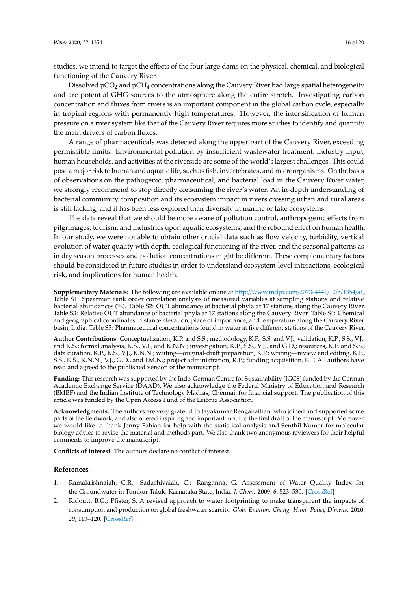studies, we intend to target the effects of the four large dams on the physical, chemical, and biological functioning of the Cauvery River.

Dissolved  $pCO<sub>2</sub>$  and  $pCH<sub>4</sub>$  concentrations along the Cauvery River had large spatial heterogeneity and are potential GHG sources to the atmosphere along the entire stretch. Investigating carbon concentration and fluxes from rivers is an important component in the global carbon cycle, especially in tropical regions with permanently high temperatures. However, the intensification of human pressure on a river system like that of the Cauvery River requires more studies to identify and quantify the main drivers of carbon fluxes.

A range of pharmaceuticals was detected along the upper part of the Cauvery River, exceeding permissible limits. Environmental pollution by insufficient wastewater treatment, industry input, human households, and activities at the riverside are some of the world's largest challenges. This could pose a major risk to human and aquatic life, such as fish, invertebrates, and microorganisms. On the basis of observations on the pathogenic, pharmaceutical, and bacterial load in the Cauvery River water, we strongly recommend to stop directly consuming the river's water. An in-depth understanding of bacterial community composition and its ecosystem impact in rivers crossing urban and rural areas is still lacking, and it has been less explored than diversity in marine or lake ecosystems.

The data reveal that we should be more aware of pollution control, anthropogenic effects from pilgrimages, tourism, and industries upon aquatic ecosystems, and the rebound effect on human health. In our study, we were not able to obtain other crucial data such as flow velocity, turbidity, vertical evolution of water quality with depth, ecological functioning of the river, and the seasonal patterns as in dry season processes and pollution concentrations might be different. These complementary factors should be considered in future studies in order to understand ecosystem-level interactions, ecological risk, and implications for human health.

**Supplementary Materials:** The following are available online at http://www.mdpi.com/2073-4441/12/5/1354/s1, Table S1: Spearman rank order correlation analysis of measured variables at sampling stations and relative bacterial abundances (%). Table S2: OUT abundance of bacterial phyla at 17 stations along the Cauvery River. Table S3: Relative OUT abundance of bacterial phyla at 17 stations along the Cauvery River. Table S4: Chemical and geographical coordinates, distance elevation, place of importance, and temperature along the Cauvery River basin, India. Table S5: Pharmaceutical concentrations found in water at five different stations of the Cauvery River.

**Author Contributions:** Conceptualization, K.P. and S.S.; methodology, K.P., S.S. and V.J.; validation, K.P., S.S., V.J., and K.S.; formal analysis, K.S., V.J., and K.N.N.; investigation, K.P., S.S., V.J., and G.D.; resources, K.P. and S.S.; data curation, K.P., K.S., V.J., K.N.N.; writing—original-draft preparation, K.P.; writing—review and editing, K.P., S.S., K.S., K.N.N., V.J., G.D., and I.M.N.; project administration, K.P.; funding acquisition, K.P. All authors have read and agreed to the published version of the manuscript.

**Funding:** This research was supported by the Indo-German Centre for Sustainability (IGCS) funded by the German Academic Exchange Service (DAAD). We also acknowledge the Federal Ministry of Education and Research (BMBF) and the Indian Institute of Technology Madras, Chennai, for financial support. The publication of this article was funded by the Open Access Fund of the Leibniz Association.

**Acknowledgments:** The authors are very grateful to Jayakumar Renganathan, who joined and supported some parts of the fieldwork, and also offered inspiring and important input to the first draft of the manuscript. Moreover, we would like to thank Jenny Fabian for help with the statistical analysis and Senthil Kumar for molecular biology advice to revise the material and methods part. We also thank two anonymous reviewers for their helpful comments to improve the manuscript.

**Conflicts of Interest:** The authors declare no conflict of interest.

## **References**

- 1. Ramakrishnaiah, C.R.; Sadashivaiah, C.; Ranganna, G. Assessment of Water Quality Index for the Groundwater in Tumkur Taluk, Karnataka State, India. *J. Chem.* **2009**, *6*, 523–530. [CrossRef]
- 2. Ridoutt, B.G.; Pfister, S. A revised approach to water footprinting to make transparent the impacts of consumption and production on global freshwater scarcity. *Glob. Environ. Chang. Hum. Policy Dimens.* **2010**, *20*, 113–120. [CrossRef]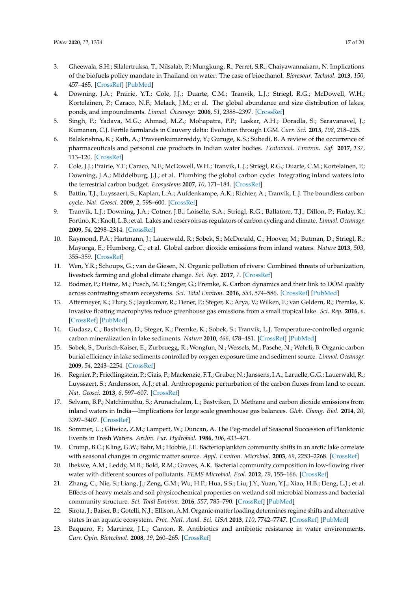- 3. Gheewala, S.H.; Silalertruksa, T.; Nilsalab, P.; Mungkung, R.; Perret, S.R.; Chaiyawannakarn, N. Implications of the biofuels policy mandate in Thailand on water: The case of bioethanol. *Bioresour. Technol.* **2013**, *150*, 457–465. [CrossRef] [PubMed]
- 4. Downing, J.A.; Prairie, Y.T.; Cole, J.J.; Duarte, C.M.; Tranvik, L.J.; Striegl, R.G.; McDowell, W.H.; Kortelainen, P.; Caraco, N.F.; Melack, J.M.; et al. The global abundance and size distribution of lakes, ponds, and impoundments. *Limnol. Oceanogr.* **2006**, *51*, 2388–2397. [CrossRef]
- 5. Singh, P.; Yadava, M.G.; Ahmad, M.Z.; Mohapatra, P.P.; Laskar, A.H.; Doradla, S.; Saravanavel, J.; Kumanan, C.J. Fertile farmlands in Cauvery delta: Evolution through LGM. *Curr. Sci.* **2015**, *108*, 218–225.
- 6. Balakrishna, K.; Rath, A.; Praveenkumarreddy, Y.; Guruge, K.S.; Subedi, B. A review of the occurrence of pharmaceuticals and personal cue products in Indian water bodies. *Ecotoxicol. Environ. Saf.* **2017**, *137*, 113–120. [CrossRef]
- 7. Cole, J.J.; Prairie, Y.T.; Caraco, N.F.; McDowell, W.H.; Tranvik, L.J.; Striegl, R.G.; Duarte, C.M.; Kortelainen, P.; Downing, J.A.; Middelburg, J.J.; et al. Plumbing the global carbon cycle: Integrating inland waters into the terrestrial carbon budget. *Ecosystems* **2007**, *10*, 171–184. [CrossRef]
- 8. Battin, T.J.; Luyssaert, S.; Kaplan, L.A.; Aufdenkampe, A.K.; Richter, A.; Tranvik, L.J. The boundless carbon cycle. *Nat. Geosci.* **2009**, *2*, 598–600. [CrossRef]
- 9. Tranvik, L.J.; Downing, J.A.; Cotner, J.B.; Loiselle, S.A.; Striegl, R.G.; Ballatore, T.J.; Dillon, P.; Finlay, K.; Fortino, K.; Knoll, L.B.; et al. Lakes and reservoirs as regulators of carbon cycling and climate. *Limnol. Oceanogr.* **2009**, *54*, 2298–2314. [CrossRef]
- 10. Raymond, P.A.; Hartmann, J.; Lauerwald, R.; Sobek, S.; McDonald, C.; Hoover, M.; Butman, D.; Striegl, R.; Mayorga, E.; Humborg, C.; et al. Global carbon dioxide emissions from inland waters. *Nature* **2013**, *503*, 355–359. [CrossRef]
- 11. Wen, Y.R.; Schoups, G.; van de Giesen, N. Organic pollution of rivers: Combined threats of urbanization, livestock farming and global climate change. *Sci. Rep.* **2017**, *7*. [CrossRef]
- 12. Bodmer, P.; Heinz, M.; Pusch, M.T.; Singer, G.; Premke, K. Carbon dynamics and their link to DOM quality across contrasting stream ecosystems. *Sci. Total Environ.* **2016**, *553*, 574–586. [CrossRef] [PubMed]
- 13. Attermeyer, K.; Flury, S.; Jayakumar, R.; Fiener, P.; Steger, K.; Arya, V.; Wilken, F.; van Geldern, R.; Premke, K. Invasive floating macrophytes reduce greenhouse gas emissions from a small tropical lake. *Sci. Rep.* **2016**, *6*. [CrossRef] [PubMed]
- 14. Gudasz, C.; Bastviken, D.; Steger, K.; Premke, K.; Sobek, S.; Tranvik, L.J. Temperature-controlled organic carbon mineralization in lake sediments. *Nature* **2010**, *466*, 478–481. [CrossRef] [PubMed]
- 15. Sobek, S.; Durisch-Kaiser, E.; Zurbruegg, R.; Wongfun, N.; Wessels, M.; Pasche, N.; Wehrli, B. Organic carbon burial efficiency in lake sediments controlled by oxygen exposure time and sediment source. *Limnol. Oceanogr.* **2009**, *54*, 2243–2254. [CrossRef]
- 16. Regnier, P.; Friedlingstein, P.; Ciais, P.; Mackenzie, F.T.; Gruber, N.; Janssens, I.A.; Laruelle, G.G.; Lauerwald, R.; Luyssaert, S.; Andersson, A.J.; et al. Anthropogenic perturbation of the carbon fluxes from land to ocean. *Nat. Geosci.* **2013**, *6*, 597–607. [CrossRef]
- 17. Selvam, B.P.; Natchimuthu, S.; Arunachalam, L.; Bastviken, D. Methane and carbon dioxide emissions from inland waters in India—Implications for large scale greenhouse gas balances. *Glob. Chang. Biol.* **2014**, *20*, 3397–3407. [CrossRef]
- 18. Sommer, U.; Gliwicz, Z.M.; Lampert, W.; Duncan, A. The Peg-model of Seasonal Succession of Planktonic Events in Fresh Waters. *Archiv. Fur. Hydrobiol.* **1986**, *106*, 433–471.
- 19. Crump, B.C.; Kling, G.W.; Bahr, M.; Hobbie, J.E. Bacterioplankton community shifts in an arctic lake correlate with seasonal changes in organic matter source. *Appl. Environ. Microbiol.* **2003**, *69*, 2253–2268. [CrossRef]
- 20. Ibekwe, A.M.; Leddy, M.B.; Bold, R.M.; Graves, A.K. Bacterial community composition in low-flowing river water with different sources of pollutants. *FEMS Microbiol. Ecol.* **2012**, *79*, 155–166. [CrossRef]
- 21. Zhang, C.; Nie, S.; Liang, J.; Zeng, G.M.; Wu, H.P.; Hua, S.S.; Liu, J.Y.; Yuan, Y.J.; Xiao, H.B.; Deng, L.J.; et al. Effects of heavy metals and soil physicochemical properties on wetland soil microbial biomass and bacterial community structure. *Sci. Total Environ.* **2016**, *557*, 785–790. [CrossRef] [PubMed]
- 22. Sirota, J.; Baiser, B.; Gotelli, N.J.; Ellison, A.M. Organic-matter loading determines regime shifts and alternative states in an aquatic ecosystem. *Proc. Natl. Acad. Sci. USA* **2013**, *110*, 7742–7747. [CrossRef] [PubMed]
- 23. Baquero, F.; Martinez, J.L.; Canton, R. Antibiotics and antibiotic resistance in water environments. *Curr. Opin. Biotechnol.* **2008**, *19*, 260–265. [CrossRef]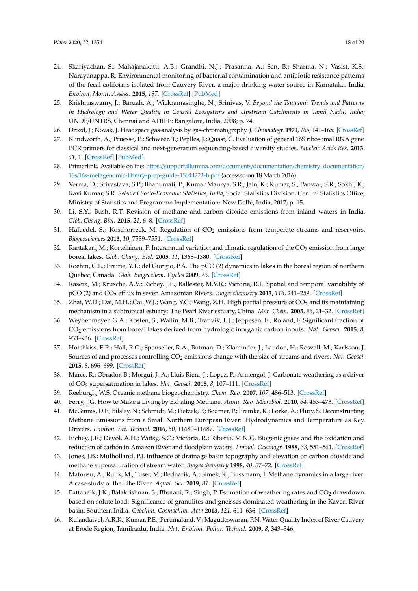- 24. Skariyachan, S.; Mahajanakatti, A.B.; Grandhi, N.J.; Prasanna, A.; Sen, B.; Sharma, N.; Vasist, K.S.; Narayanappa, R. Environmental monitoring of bacterial contamination and antibiotic resistance patterns of the fecal coliforms isolated from Cauvery River, a major drinking water source in Karnataka, India. *Environ. Monit. Assess.* **2015**, *187*. [CrossRef] [PubMed]
- 25. Krishnaswamy, J.; Baruah, A.; Wickramasinghe, N.; Srinivas, V. *Beyond the Tsunami: Trends and Patterns in Hydrology and Water Quality in Coastal Ecosystems and Upstream Catchments in Tamil Nadu, India*; UNDP/UNTRS, Chennai and ATREE: Bangalore, India, 2008; p. 74.
- 26. Drozd, J.; Novak, J. Headspace gas-analysis by gas-chromatography. *J. Chromatogr.* **1979**, *165*, 141–165. [CrossRef]
- 27. Klindworth, A.; Pruesse, E.; Schweer, T.; Peplles, J.; Quast, C. Evaluation of general 16S ribosomal RNA gene PCR primers for classical and next-generation sequencing-based diversity studies. *Nucleic Acids Res.* **2013**, *41*, 1. [CrossRef] [PubMed]
- 28. Primerlink. Available online: https://support.illumina.com/documents/documentation/chemistry\_documentation/ 16s/16s-metagenomic-library-prep-guide-15044223-b.pdf (accessed on 18 March 2016).
- 29. Verma, D.; Srivastava, S.P.; Bhanumati, P.; Kumar Maurya, S.R.; Jain, K.; Kumar, S.; Panwar, S.R.; Sokhi, K.; Ravi Kumar, S.R. *Selected Socio-Economic Statistics, India*; Social Statistics Division, Central Statistics Office, Ministry of Statistics and Programme Implementation: New Delhi, India, 2017; p. 15.
- 30. Li, S.Y.; Bush, R.T. Revision of methane and carbon dioxide emissions from inland waters in India. *Glob. Chang. Biol.* **2015**, *21*, 6–8. [CrossRef]
- 31. Halbedel, S.; Koschorreck, M. Regulation of  $CO<sub>2</sub>$  emissions from temperate streams and reservoirs. *Biogeosciences* **2013**, *10*, 7539–7551. [CrossRef]
- 32. Rantakari, M.; Kortelainen, P. Interannual variation and climatic regulation of the  $CO<sub>2</sub>$  emission from large boreal lakes. *Glob. Chang. Biol.* **2005**, *11*, 1368–1380. [CrossRef]
- 33. Roehm, C.L.; Prairie, Y.T.; del Giorgio, P.A. The pCO (2) dynamics in lakes in the boreal region of northern Quebec, Canada. *Glob. Biogeochem. Cycles* **2009**, *23*. [CrossRef]
- 34. Rasera, M.; Krusche, A.V.; Richey, J.E.; Ballester, M.V.R.; Victoria, R.L. Spatial and temporal variability of pCO (2) and CO<sup>2</sup> efflux in seven Amazonian Rivers. *Biogeochemistry* **2013**, *116*, 241–259. [CrossRef]
- 35. Zhai, W.D.; Dai, M.H.; Cai, W.J.; Wang, Y.C.; Wang, Z.H. High partial pressure of CO<sub>2</sub> and its maintaining mechanism in a subtropical estuary: The Pearl River estuary, China. *Mar. Chem.* **2005**, *93*, 21–32. [CrossRef]
- 36. Weyhenmeyer, G.A.; Kosten, S.; Wallin, M.B.; Tranvik, L.J.; Jeppesen, E.; Roland, F. Significant fraction of CO<sup>2</sup> emissions from boreal lakes derived from hydrologic inorganic carbon inputs. *Nat. Geosci.* **2015**, *8*, 933–936. [CrossRef]
- 37. Hotchkiss, E.R.; Hall, R.O.; Sponseller, R.A.; Butman, D.; Klaminder, J.; Laudon, H.; Rosvall, M.; Karlsson, J. Sources of and processes controlling CO<sup>2</sup> emissions change with the size of streams and rivers. *Nat. Geosci.* **2015**, *8*, 696–699. [CrossRef]
- 38. Marce, R.; Obrador, B.; Morgui, J.-A.; Lluis Riera, J.; Lopez, P.; Armengol, J. Carbonate weathering as a driver of CO<sup>2</sup> supersaturation in lakes. *Nat. Geosci.* **2015**, *8*, 107–111. [CrossRef]
- 39. Reeburgh, W.S. Oceanic methane biogeochemistry. *Chem. Rev.* **2007**, *107*, 486–513. [CrossRef]
- 40. Ferry, J.G. How to Make a Living by Exhaling Methane. *Annu. Rev. Microbiol.* **2010**, *64*, 453–473. [CrossRef]
- 41. McGinnis, D.F.; Bilsley, N.; Schmidt, M.; Fietzek, P.; Bodmer, P.; Premke, K.; Lorke, A.; Flury, S. Deconstructing Methane Emissions from a Small Northern European River: Hydrodynamics and Temperature as Key Drivers. *Environ. Sci. Technol.* **2016**, *50*, 11680–11687. [CrossRef]
- 42. Richey, J.E.; Devol, A.H.; Wofsy, S.C.; Victoria, R.; Riberio, M.N.G. Biogenic gases and the oxidation and reduction of carbon in Amazon River and floodplain waters. *Limnol. Oceanogr.* **1988**, *33*, 551–561. [CrossRef]
- 43. Jones, J.B.; Mulholland, P.J. Influence of drainage basin topography and elevation on carbon dioxide and methane supersaturation of stream water. *Biogeochemistry* **1998**, *40*, 57–72. [CrossRef]
- 44. Matousu, A.; Rulik, M.; Tuser, M.; Bednarik, A.; Simek, K.; Bussmann, I. Methane dynamics in a large river: A case study of the Elbe River. *Aquat. Sci.* **2019**, *81*. [CrossRef]
- 45. Pattanaik, J.K.; Balakrishnan, S.; Bhutani, R.; Singh, P. Estimation of weathering rates and CO<sub>2</sub> drawdown based on solute load: Significance of granulites and gneisses dominated weathering in the Kaveri River basin, Southern India. *Geochim. Cosmochim. Acta* **2013**, *121*, 611–636. [CrossRef]
- 46. Kulandaivel, A.R.K.; Kumar, P.E.; Perumaland, V.; Magudeswaran, P.N. Water Quality Index of River Cauvery at Erode Region, Tamilnadu, India. *Nat. Environ. Pollut. Technol.* **2009**, *8*, 343–346.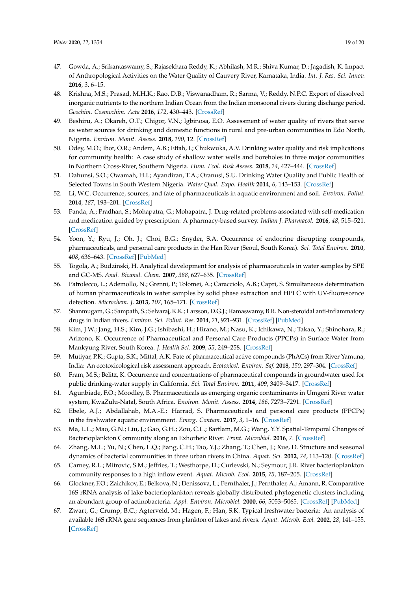- 47. Gowda, A.; Srikantaswamy, S.; Rajasekhara Reddy, K.; Abhilash, M.R.; Shiva Kumar, D.; Jagadish, K. Impact of Anthropological Activities on the Water Quality of Cauvery River, Karnataka, India. *Int. J. Res. Sci. Innov.* **2016**, *3*, 6–15.
- 48. Krishna, M.S.; Prasad, M.H.K.; Rao, D.B.; Viswanadham, R.; Sarma, V.; Reddy, N.P.C. Export of dissolved inorganic nutrients to the northern Indian Ocean from the Indian monsoonal rivers during discharge period. *Geochim. Cosmochim. Acta* **2016**, *172*, 430–443. [CrossRef]
- 49. Beshiru, A.; Okareh, O.T.; Chigor, V.N.; Igbinosa, E.O. Assessment of water quality of rivers that serve as water sources for drinking and domestic functions in rural and pre-urban communities in Edo North, Nigeria. *Environ. Monit. Assess.* **2018**, *190*, 12. [CrossRef]
- 50. Odey, M.O.; Ibor, O.R.; Andem, A.B.; Ettah, I.; Chukwuka, A.V. Drinking water quality and risk implications for community health: A case study of shallow water wells and boreholes in three major communities in Northern Cross-River, Southern Nigeria. *Hum. Ecol. Risk Assess.* **2018**, *24*, 427–444. [CrossRef]
- 51. Dahunsi, S.O.; Owamah, H.I.; Ayandiran, T.A.; Oranusi, S.U. Drinking Water Quality and Public Health of Selected Towns in South Western Nigeria. *Water Qual. Expo. Health* **2014**, *6*, 143–153. [CrossRef]
- 52. Li, W.C. Occurrence, sources, and fate of pharmaceuticals in aquatic environment and soil. *Environ. Pollut.* **2014**, *187*, 193–201. [CrossRef]
- 53. Panda, A.; Pradhan, S.; Mohapatra, G.; Mohapatra, J. Drug-related problems associated with self-medication and medication guided by prescription: A pharmacy-based survey. *Indian J. Pharmacol.* **2016**, *48*, 515–521. [CrossRef]
- 54. Yoon, Y.; Ryu, J.; Oh, J.; Choi, B.G.; Snyder, S.A. Occurrence of endocrine disrupting compounds, pharmaceuticals, and personal care products in the Han River (Seoul, South Korea). *Sci. Total Environ.* **2010**, *408*, 636–643. [CrossRef] [PubMed]
- 55. Togola, A.; Budzinski, H. Analytical development for analysis of pharmaceuticals in water samples by SPE and GC-MS. *Anal. Bioanal. Chem.* **2007**, *388*, 627–635. [CrossRef]
- 56. Patrolecco, L.; Ademollo, N.; Grenni, P.; Tolomei, A.; Caracciolo, A.B.; Capri, S. Simultaneous determination of human pharmaceuticals in water samples by solid phase extraction and HPLC with UV-fluorescence detection. *Microchem. J.* **2013**, *107*, 165–171. [CrossRef]
- 57. Shanmugam, G.; Sampath, S.; Selvaraj, K.K.; Larsson, D.G.J.; Ramaswamy, B.R. Non-steroidal anti-inflammatory drugs in Indian rivers. *Environ. Sci. Pollut. Res.* **2014**, *21*, 921–931. [CrossRef] [PubMed]
- 58. Kim, J.W.; Jang, H.S.; Kim, J.G.; Ishibashi, H.; Hirano, M.; Nasu, K.; Ichikawa, N.; Takao, Y.; Shinohara, R.; Arizono, K. Occurrence of Pharmaceutical and Personal Care Products (PPCPs) in Surface Water from Mankyung River, South Korea. *J. Health Sci.* **2009**, *55*, 249–258. [CrossRef]
- 59. Mutiyar, P.K.; Gupta, S.K.; Mittal, A.K. Fate of pharmaceutical active compounds (PhACs) from River Yamuna, India: An ecotoxicological risk assessment approach. *Ecotoxicol. Environ. Saf.* **2018**, *150*, 297–304. [CrossRef]
- 60. Fram, M.S.; Belitz, K. Occurrence and concentrations of pharmaceutical compounds in groundwater used for public drinking-water supply in California. *Sci. Total Environ.* **2011**, *409*, 3409–3417. [CrossRef]
- 61. Agunbiade, F.O.; Moodley, B. Pharmaceuticals as emerging organic contaminants in Umgeni River water system, KwaZulu-Natal, South Africa. *Environ. Monit. Assess.* **2014**, *186*, 7273–7291. [CrossRef]
- 62. Ebele, A.J.; Abdallahab, M.A.-E.; Harrad, S. Pharmaceuticals and personal care products (PPCPs) in the freshwater aquatic environment. *Emerg. Contam.* **2017**, *3*, 1–16. [CrossRef]
- 63. Ma, L.L.; Mao, G.N.; Liu, J.; Gao, G.H.; Zou, C.L.; Bartlam, M.G.; Wang, Y.Y. Spatial-Temporal Changes of Bacterioplankton Community along an Exhorheic River. *Front. Microbiol.* **2016**, *7*. [CrossRef]
- 64. Zhang, M.L.; Yu, N.; Chen, L.Q.; Jiang, C.H.; Tao, Y.J.; Zhang, T.; Chen, J.; Xue, D. Structure and seasonal dynamics of bacterial communities in three urban rivers in China. *Aquat. Sci.* **2012**, *74*, 113–120. [CrossRef]
- 65. Carney, R.L.; Mitrovic, S.M.; Jeffries, T.; Westhorpe, D.; Curlevski, N.; Seymour, J.R. River bacterioplankton community responses to a high inflow event. *Aquat. Microb. Ecol.* **2015**, *75*, 187–205. [CrossRef]
- 66. Glockner, F.O.; Zaichikov, E.; Belkova, N.; Denissova, L.; Pernthaler, J.; Pernthaler, A.; Amann, R. Comparative 16S rRNA analysis of lake bacterioplankton reveals globally distributed phylogenetic clusters including an abundant group of actinobacteria. *Appl. Environ. Microbiol.* **2000**, *66*, 5053–5065. [CrossRef] [PubMed]
- 67. Zwart, G.; Crump, B.C.; Agterveld, M.; Hagen, F.; Han, S.K. Typical freshwater bacteria: An analysis of available 16S rRNA gene sequences from plankton of lakes and rivers. *Aquat. Microb. Ecol.* **2002**, *28*, 141–155. [CrossRef]